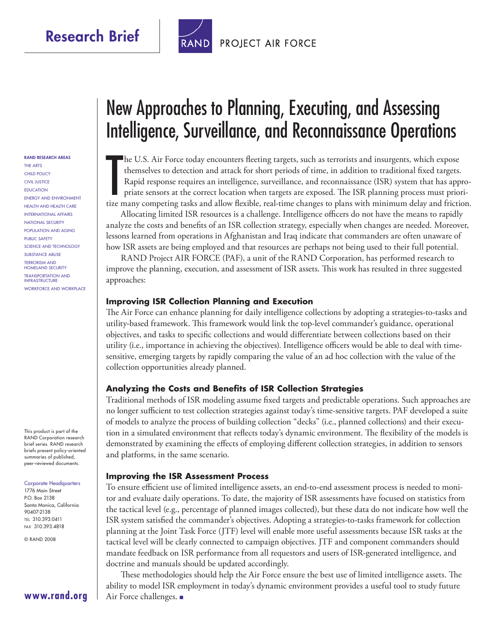

### **PROJECT AIR FORCE**

#### **RAND RESEARCH AREAS**

THE ARTS CHILD POLICY CIVIL JUSTICE EDUCATION ENERGY AND ENVIRONMENT HEALTH AND HEALTH CARE INTERNATIONAL AFFAIRS NATIONAL SECURITY POPULATION AND AGING PUBLIC SAFETY SCIENCE AND TECHNOLOGY SUBSTANCE ABUSE TERRORISM AND HOMELAND SECURITY TRANSPORTATION AND INFRASTRUCTURE WORKFORCE AND WORKPLACE

This product is part of the RAND Corporation research brief series. RAND research briefs present policy-oriented summaries of published, peer-reviewed documents.

#### Corporate Headquarters

1776 Main Street P.O. Box 2138 Santa Monica, California 90407-2138 TEL 310.393.0411 FAX 310.393.4818

**[www.rand.org](http://www.rand.org)**

© RAND 2008

# New Approaches to Planning, Executing, and Assessing Intelligence, Surveillance, and Reconnaissance Operations

The U.S. Air Force today encounters fleeting targets, such as terrorists and insurgents, which expose themselves to detection and attack for short periods of time, in addition to traditional fixed targets. Rapid response r The U.S. Air Force today encounters fleeting targets, such as terrorists and insurgents, which expose themselves to detection and attack for short periods of time, in addition to traditional fixed targets. Rapid response requires an intelligence, surveillance, and reconnaissance (ISR) system that has appropriate sensors at the correct location when targets are exposed. The ISR planning process must priori-

Allocating limited ISR resources is a challenge. Intelligence officers do not have the means to rapidly analyze the costs and benefits of an ISR collection strategy, especially when changes are needed. Moreover, lessons learned from operations in Afghanistan and Iraq indicate that commanders are often unaware of how ISR assets are being employed and that resources are perhaps not being used to their full potential.

RAND Project AIR FORCE (PAF), a unit of the RAND Corporation, has performed research to improve the planning, execution, and assessment of ISR assets. This work has resulted in three suggested approaches:

#### **Improving ISR Collection Planning and Execution**

The Air Force can enhance planning for daily intelligence collections by adopting a strategies-to-tasks and utility-based framework. This framework would link the top-level commander's guidance, operational objectives, and tasks to specific collections and would differentiate between collections based on their utility (i.e., importance in achieving the objectives). Intelligence officers would be able to deal with timesensitive, emerging targets by rapidly comparing the value of an ad hoc collection with the value of the collection opportunities already planned.

#### **Analyzing the Costs and Benefits of ISR Collection Strategies**

Traditional methods of ISR modeling assume fixed targets and predictable operations. Such approaches are no longer sufficient to test collection strategies against today's time-sensitive targets. PAF developed a suite of models to analyze the process of building collection "decks" (i.e., planned collections) and their execution in a simulated environment that reflects today's dynamic environment. The flexibility of the models is demonstrated by examining the effects of employing different collection strategies, in addition to sensors and platforms, in the same scenario.

#### **Improving the ISR Assessment Process**

To ensure efficient use of limited intelligence assets, an end-to-end assessment process is needed to monitor and evaluate daily operations. To date, the majority of ISR assessments have focused on statistics from the tactical level (e.g., percentage of planned images collected), but these data do not indicate how well the ISR system satisfied the commander's objectives. Adopting a strategies-to-tasks framework for collection planning at the Joint Task Force (JTF) level will enable more useful assessments because ISR tasks at the tactical level will be clearly connected to campaign objectives. JTF and component commanders should mandate feedback on ISR performance from all requestors and users of ISR-generated intelligence, and doctrine and manuals should be updated accordingly.

These methodologies should help the Air Force ensure the best use of limited intelligence assets. The ability to model ISR employment in today's dynamic environment provides a useful tool to study future Air Force challenges. ■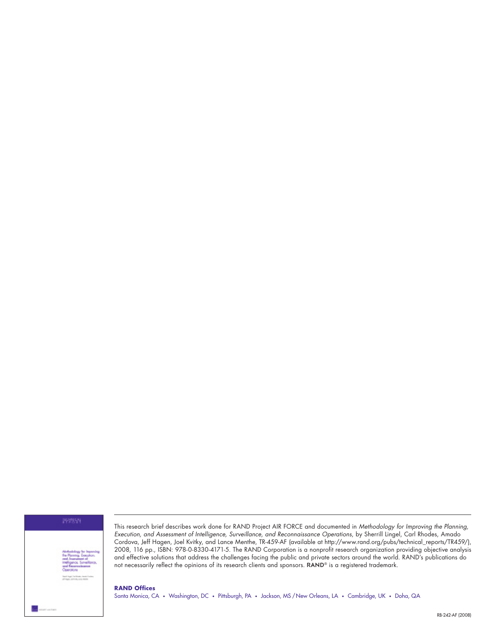

This research brief describes work done for RAND Project AIR FORCE and documented in Methodology for Improving the Planning, Execution, and Assessment of Intelligence, Surveillance, and Reconnaissance Operations, by Sherrill Lingel, Carl Rhodes, Amado Cordova, Jeff Hagen, Joel Kvitky, and Lance Menthe, TR-459-AF (available at [http://www.rand.org/pubs/technical\\_reports/TR459/\)](http://www.rand.org/pubs/technical_reports/TR459/), 2008, 116 pp., ISBN: 978-0-8330-4171-5. The RAND Corporation is a nonprofit research organization providing objective analysis and effective solutions that address the challenges facing the public and private sectors around the world. RAND's publications do not necessarily reflect the opinions of its research clients and sponsors. RAND® is a registered trademark.

**RAND Offices** Santa Monica, CA • Washington, DC • Pittsburgh, PA • Jackson, MS / New Orleans, LA • Cambridge, UK • Doha, QA